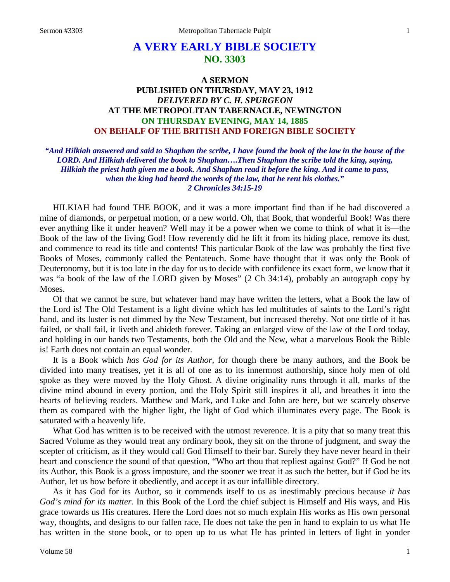# **A VERY EARLY BIBLE SOCIETY NO. 3303**

### **A SERMON PUBLISHED ON THURSDAY, MAY 23, 1912** *DELIVERED BY C. H. SPURGEON* **AT THE METROPOLITAN TABERNACLE, NEWINGTON ON THURSDAY EVENING, MAY 14, 1885 ON BEHALF OF THE BRITISH AND FOREIGN BIBLE SOCIETY**

*"And Hilkiah answered and said to Shaphan the scribe, I have found the book of the law in the house of the LORD. And Hilkiah delivered the book to Shaphan….Then Shaphan the scribe told the king, saying, Hilkiah the priest hath given me a book. And Shaphan read it before the king. And it came to pass, when the king had heard the words of the law, that he rent his clothes." 2 Chronicles 34:15-19*

HILKIAH had found THE BOOK, and it was a more important find than if he had discovered a mine of diamonds, or perpetual motion, or a new world. Oh, that Book, that wonderful Book! Was there ever anything like it under heaven? Well may it be a power when we come to think of what it is—the Book of the law of the living God! How reverently did he lift it from its hiding place, remove its dust, and commence to read its title and contents! This particular Book of the law was probably the first five Books of Moses, commonly called the Pentateuch. Some have thought that it was only the Book of Deuteronomy, but it is too late in the day for us to decide with confidence its exact form, we know that it was "a book of the law of the LORD given by Moses" (2 Ch 34:14), probably an autograph copy by Moses.

Of that we cannot be sure, but whatever hand may have written the letters, what a Book the law of the Lord is! The Old Testament is a light divine which has led multitudes of saints to the Lord's right hand, and its luster is not dimmed by the New Testament, but increased thereby. Not one tittle of it has failed, or shall fail, it liveth and abideth forever. Taking an enlarged view of the law of the Lord today, and holding in our hands two Testaments, both the Old and the New, what a marvelous Book the Bible is! Earth does not contain an equal wonder.

It is a Book which *has God for its Author,* for though there be many authors, and the Book be divided into many treatises, yet it is all of one as to its innermost authorship, since holy men of old spoke as they were moved by the Holy Ghost. A divine originality runs through it all, marks of the divine mind abound in every portion, and the Holy Spirit still inspires it all, and breathes it into the hearts of believing readers. Matthew and Mark, and Luke and John are here, but we scarcely observe them as compared with the higher light, the light of God which illuminates every page. The Book is saturated with a heavenly life.

What God has written is to be received with the utmost reverence. It is a pity that so many treat this Sacred Volume as they would treat any ordinary book, they sit on the throne of judgment, and sway the scepter of criticism, as if they would call God Himself to their bar. Surely they have never heard in their heart and conscience the sound of that question, "Who art thou that repliest against God?" If God be not its Author, this Book is a gross imposture, and the sooner we treat it as such the better, but if God be its Author, let us bow before it obediently, and accept it as our infallible directory.

As it has God for its Author, so it commends itself to us as inestimably precious because *it has God's mind for its matter.* In this Book of the Lord the chief subject is Himself and His ways, and His grace towards us His creatures. Here the Lord does not so much explain His works as His own personal way, thoughts, and designs to our fallen race, He does not take the pen in hand to explain to us what He has written in the stone book, or to open up to us what He has printed in letters of light in yonder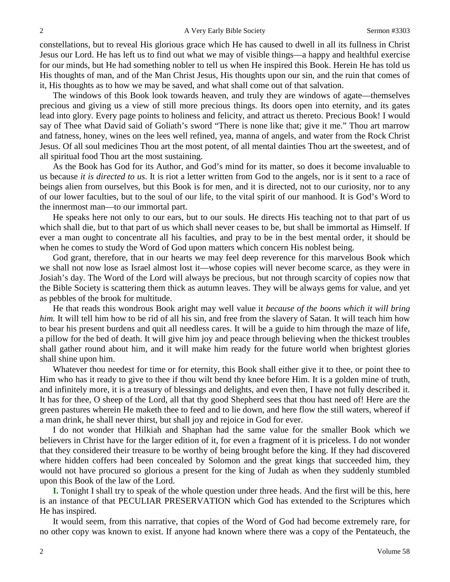constellations, but to reveal His glorious grace which He has caused to dwell in all its fullness in Christ Jesus our Lord. He has left us to find out what we may of visible things—a happy and healthful exercise for our minds, but He had something nobler to tell us when He inspired this Book. Herein He has told us His thoughts of man, and of the Man Christ Jesus, His thoughts upon our sin, and the ruin that comes of it, His thoughts as to how we may be saved, and what shall come out of that salvation.

The windows of this Book look towards heaven, and truly they are windows of agate—themselves precious and giving us a view of still more precious things. Its doors open into eternity, and its gates lead into glory. Every page points to holiness and felicity, and attract us thereto. Precious Book! I would say of Thee what David said of Goliath's sword "There is none like that; give it me." Thou art marrow and fatness, honey, wines on the lees well refined, yea, manna of angels, and water from the Rock Christ Jesus. Of all soul medicines Thou art the most potent, of all mental dainties Thou art the sweetest, and of all spiritual food Thou art the most sustaining.

As the Book has God for its Author, and God's mind for its matter, so does it become invaluable to us because *it is directed to us*. It is riot a letter written from God to the angels, nor is it sent to a race of beings alien from ourselves, but this Book is for men, and it is directed, not to our curiosity, nor to any of our lower faculties, but to the soul of our life, to the vital spirit of our manhood. It is God's Word to the innermost man—to our immortal part.

He speaks here not only to our ears, but to our souls. He directs His teaching not to that part of us which shall die, but to that part of us which shall never ceases to be, but shall be immortal as Himself. If ever a man ought to concentrate all his faculties, and pray to be in the best mental order, it should be when he comes to study the Word of God upon matters which concern His noblest being.

God grant, therefore, that in our hearts we may feel deep reverence for this marvelous Book which we shall not now lose as Israel almost lost it—whose copies will never become scarce, as they were in Josiah's day. The Word of the Lord will always be precious, but not through scarcity of copies now that the Bible Society is scattering them thick as autumn leaves. They will be always gems for value, and yet as pebbles of the brook for multitude.

He that reads this wondrous Book aright may well value it *because of the boons which it will bring him.* It will tell him how to be rid of all his sin, and free from the slavery of Satan. It will teach him how to bear his present burdens and quit all needless cares. It will be a guide to him through the maze of life, a pillow for the bed of death. It will give him joy and peace through believing when the thickest troubles shall gather round about him, and it will make him ready for the future world when brightest glories shall shine upon him.

Whatever thou needest for time or for eternity, this Book shall either give it to thee, or point thee to Him who has it ready to give to thee if thou wilt bend thy knee before Him. It is a golden mine of truth, and infinitely more, it is a treasury of blessings and delights, and even then, I have not fully described it. It has for thee, O sheep of the Lord, all that thy good Shepherd sees that thou hast need of! Here are the green pastures wherein He maketh thee to feed and to lie down, and here flow the still waters, whereof if a man drink, he shall never thirst, but shall joy and rejoice in God for ever.

I do not wonder that Hilkiah and Shaphan had the same value for the smaller Book which we believers in Christ have for the larger edition of it, for even a fragment of it is priceless. I do not wonder that they considered their treasure to be worthy of being brought before the king. If they had discovered where hidden coffers had been concealed by Solomon and the great kings that succeeded him, they would not have procured so glorious a present for the king of Judah as when they suddenly stumbled upon this Book of the law of the Lord.

**I.** Tonight I shall try to speak of the whole question under three heads. And the first will be this, here is an instance of that PECULIAR PRESERVATION which God has extended to the Scriptures which He has inspired.

It would seem, from this narrative, that copies of the Word of God had become extremely rare, for no other copy was known to exist. If anyone had known where there was a copy of the Pentateuch, the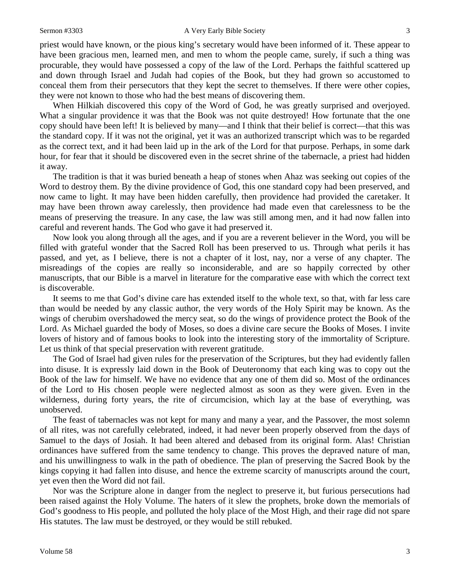priest would have known, or the pious king's secretary would have been informed of it. These appear to have been gracious men, learned men, and men to whom the people came, surely, if such a thing was procurable, they would have possessed a copy of the law of the Lord. Perhaps the faithful scattered up and down through Israel and Judah had copies of the Book, but they had grown so accustomed to conceal them from their persecutors that they kept the secret to themselves. If there were other copies, they were not known to those who had the best means of discovering them.

When Hilkiah discovered this copy of the Word of God, he was greatly surprised and overjoyed. What a singular providence it was that the Book was not quite destroyed! How fortunate that the one copy should have been left! It is believed by many—and I think that their belief is correct—that this was the standard copy. If it was not the original, yet it was an authorized transcript which was to be regarded as the correct text, and it had been laid up in the ark of the Lord for that purpose. Perhaps, in some dark hour, for fear that it should be discovered even in the secret shrine of the tabernacle, a priest had hidden it away.

The tradition is that it was buried beneath a heap of stones when Ahaz was seeking out copies of the Word to destroy them. By the divine providence of God, this one standard copy had been preserved, and now came to light. It may have been hidden carefully, then providence had provided the caretaker. It may have been thrown away carelessly, then providence had made even that carelessness to be the means of preserving the treasure. In any case, the law was still among men, and it had now fallen into careful and reverent hands. The God who gave it had preserved it.

Now look you along through all the ages, and if you are a reverent believer in the Word, you will be filled with grateful wonder that the Sacred Roll has been preserved to us. Through what perils it has passed, and yet, as I believe, there is not a chapter of it lost, nay, nor a verse of any chapter. The misreadings of the copies are really so inconsiderable, and are so happily corrected by other manuscripts, that our Bible is a marvel in literature for the comparative ease with which the correct text is discoverable.

It seems to me that God's divine care has extended itself to the whole text, so that, with far less care than would be needed by any classic author, the very words of the Holy Spirit may be known. As the wings of cherubim overshadowed the mercy seat, so do the wings of providence protect the Book of the Lord. As Michael guarded the body of Moses, so does a divine care secure the Books of Moses. I invite lovers of history and of famous books to look into the interesting story of the immortality of Scripture. Let us think of that special preservation with reverent gratitude.

The God of Israel had given rules for the preservation of the Scriptures, but they had evidently fallen into disuse. It is expressly laid down in the Book of Deuteronomy that each king was to copy out the Book of the law for himself. We have no evidence that any one of them did so. Most of the ordinances of the Lord to His chosen people were neglected almost as soon as they were given. Even in the wilderness, during forty years, the rite of circumcision, which lay at the base of everything, was unobserved.

The feast of tabernacles was not kept for many and many a year, and the Passover, the most solemn of all rites, was not carefully celebrated, indeed, it had never been properly observed from the days of Samuel to the days of Josiah. It had been altered and debased from its original form. Alas! Christian ordinances have suffered from the same tendency to change. This proves the depraved nature of man, and his unwillingness to walk in the path of obedience. The plan of preserving the Sacred Book by the kings copying it had fallen into disuse, and hence the extreme scarcity of manuscripts around the court, yet even then the Word did not fail.

Nor was the Scripture alone in danger from the neglect to preserve it, but furious persecutions had been raised against the Holy Volume. The haters of it slew the prophets, broke down the memorials of God's goodness to His people, and polluted the holy place of the Most High, and their rage did not spare His statutes. The law must be destroyed, or they would be still rebuked.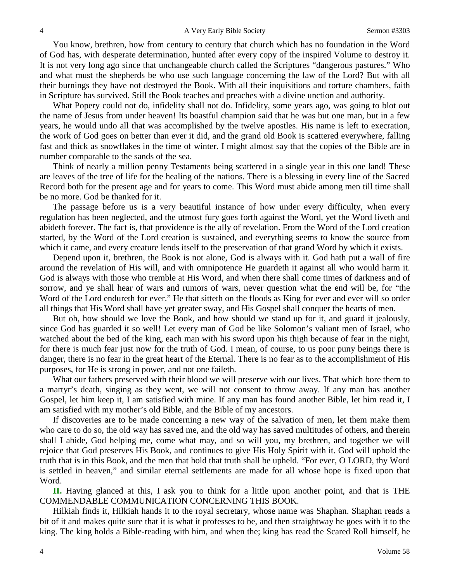You know, brethren, how from century to century that church which has no foundation in the Word of God has, with desperate determination, hunted after every copy of the inspired Volume to destroy it. It is not very long ago since that unchangeable church called the Scriptures "dangerous pastures." Who and what must the shepherds be who use such language concerning the law of the Lord? But with all their burnings they have not destroyed the Book. With all their inquisitions and torture chambers, faith in Scripture has survived. Still the Book teaches and preaches with a divine unction and authority.

What Popery could not do, infidelity shall not do. Infidelity, some years ago, was going to blot out the name of Jesus from under heaven! Its boastful champion said that he was but one man, but in a few years, he would undo all that was accomplished by the twelve apostles. His name is left to execration, the work of God goes on better than ever it did, and the grand old Book is scattered everywhere, falling fast and thick as snowflakes in the time of winter. I might almost say that the copies of the Bible are in number comparable to the sands of the sea.

Think of nearly a million penny Testaments being scattered in a single year in this one land! These are leaves of the tree of life for the healing of the nations. There is a blessing in every line of the Sacred Record both for the present age and for years to come. This Word must abide among men till time shall be no more. God be thanked for it.

The passage before us is a very beautiful instance of how under every difficulty, when every regulation has been neglected, and the utmost fury goes forth against the Word, yet the Word liveth and abideth forever. The fact is, that providence is the ally of revelation. From the Word of the Lord creation started, by the Word of the Lord creation is sustained, and everything seems to know the source from which it came, and every creature lends itself to the preservation of that grand Word by which it exists.

Depend upon it, brethren, the Book is not alone, God is always with it. God hath put a wall of fire around the revelation of His will, and with omnipotence He guardeth it against all who would harm it. God is always with those who tremble at His Word, and when there shall come times of darkness and of sorrow, and ye shall hear of wars and rumors of wars, never question what the end will be, for "the Word of the Lord endureth for ever." He that sitteth on the floods as King for ever and ever will so order all things that His Word shall have yet greater sway, and His Gospel shall conquer the hearts of men.

But oh, how should we love the Book, and how should we stand up for it, and guard it jealously, since God has guarded it so well! Let every man of God be like Solomon's valiant men of Israel, who watched about the bed of the king, each man with his sword upon his thigh because of fear in the night, for there is much fear just now for the truth of God. I mean, of course, to us poor puny beings there is danger, there is no fear in the great heart of the Eternal. There is no fear as to the accomplishment of His purposes, for He is strong in power, and not one faileth.

What our fathers preserved with their blood we will preserve with our lives. That which bore them to a martyr's death, singing as they went, we will not consent to throw away. If any man has another Gospel, let him keep it, I am satisfied with mine. If any man has found another Bible, let him read it, I am satisfied with my mother's old Bible, and the Bible of my ancestors.

If discoveries are to be made concerning a new way of the salvation of men, let them make them who care to do so, the old way has saved me, and the old way has saved multitudes of others, and therein shall I abide, God helping me, come what may, and so will you, my brethren, and together we will rejoice that God preserves His Book, and continues to give His Holy Spirit with it. God will uphold the truth that is in this Book, and the men that hold that truth shall be upheld. "For ever, O LORD, thy Word is settled in heaven," and similar eternal settlements are made for all whose hope is fixed upon that Word.

**II.** Having glanced at this, I ask you to think for a little upon another point, and that is THE COMMENDABLE COMMUNICATION CONCERNING THIS BOOK.

Hilkiah finds it, Hilkiah hands it to the royal secretary, whose name was Shaphan. Shaphan reads a bit of it and makes quite sure that it is what it professes to be, and then straightway he goes with it to the king. The king holds a Bible-reading with him, and when the; king has read the Scared Roll himself, he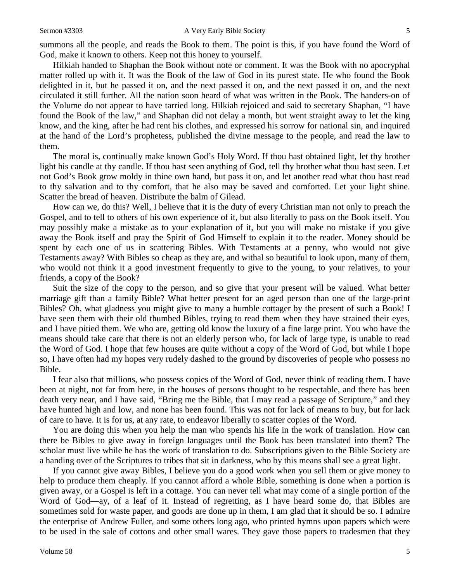summons all the people, and reads the Book to them. The point is this, if you have found the Word of God, make it known to others. Keep not this honey to yourself.

Hilkiah handed to Shaphan the Book without note or comment. It was the Book with no apocryphal matter rolled up with it. It was the Book of the law of God in its purest state. He who found the Book delighted in it, but he passed it on, and the next passed it on, and the next passed it on, and the next circulated it still further. All the nation soon heard of what was written in the Book. The handers-on of the Volume do not appear to have tarried long. Hilkiah rejoiced and said to secretary Shaphan, "I have found the Book of the law," and Shaphan did not delay a month, but went straight away to let the king know, and the king, after he had rent his clothes, and expressed his sorrow for national sin, and inquired at the hand of the Lord's prophetess, published the divine message to the people, and read the law to them.

The moral is, continually make known God's Holy Word. If thou hast obtained light, let thy brother light his candle at thy candle. If thou hast seen anything of God, tell thy brother what thou hast seen. Let not God's Book grow moldy in thine own hand, but pass it on, and let another read what thou hast read to thy salvation and to thy comfort, that he also may be saved and comforted. Let your light shine. Scatter the bread of heaven. Distribute the balm of Gilead.

How can we, do this? Well, I believe that it is the duty of every Christian man not only to preach the Gospel, and to tell to others of his own experience of it, but also literally to pass on the Book itself. You may possibly make a mistake as to your explanation of it, but you will make no mistake if you give away the Book itself and pray the Spirit of God Himself to explain it to the reader. Money should be spent by each one of us in scattering Bibles. With Testaments at a penny, who would not give Testaments away? With Bibles so cheap as they are, and withal so beautiful to look upon, many of them, who would not think it a good investment frequently to give to the young, to your relatives, to your friends, a copy of the Book?

Suit the size of the copy to the person, and so give that your present will be valued. What better marriage gift than a family Bible? What better present for an aged person than one of the large-print Bibles? Oh, what gladness you might give to many a humble cottager by the present of such a Book! I have seen them with their old thumbed Bibles, trying to read them when they have strained their eyes, and I have pitied them. We who are, getting old know the luxury of a fine large print. You who have the means should take care that there is not an elderly person who, for lack of large type, is unable to read the Word of God. I hope that few houses are quite without a copy of the Word of God, but while I hope so, I have often had my hopes very rudely dashed to the ground by discoveries of people who possess no Bible.

I fear also that millions, who possess copies of the Word of God, never think of reading them. I have been at night, not far from here, in the houses of persons thought to be respectable, and there has been death very near, and I have said, "Bring me the Bible, that I may read a passage of Scripture," and they have hunted high and low, and none has been found. This was not for lack of means to buy, but for lack of care to have. It is for us, at any rate, to endeavor liberally to scatter copies of the Word.

You are doing this when you help the man who spends his life in the work of translation. How can there be Bibles to give away in foreign languages until the Book has been translated into them? The scholar must live while he has the work of translation to do. Subscriptions given to the Bible Society are a handing over of the Scriptures to tribes that sit in darkness, who by this means shall see a great light.

If you cannot give away Bibles, I believe you do a good work when you sell them or give money to help to produce them cheaply. If you cannot afford a whole Bible, something is done when a portion is given away, or a Gospel is left in a cottage. You can never tell what may come of a single portion of the Word of God—ay, of a leaf of it. Instead of regretting, as I have heard some do, that Bibles are sometimes sold for waste paper, and goods are done up in them, I am glad that it should be so. I admire the enterprise of Andrew Fuller, and some others long ago, who printed hymns upon papers which were to be used in the sale of cottons and other small wares. They gave those papers to tradesmen that they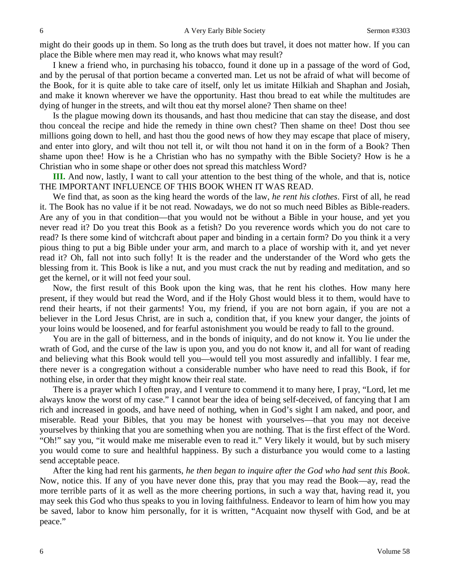might do their goods up in them. So long as the truth does but travel, it does not matter how. If you can place the Bible where men may read it, who knows what may result?

I knew a friend who, in purchasing his tobacco, found it done up in a passage of the word of God, and by the perusal of that portion became a converted man. Let us not be afraid of what will become of the Book, for it is quite able to take care of itself, only let us imitate Hilkiah and Shaphan and Josiah, and make it known wherever we have the opportunity. Hast thou bread to eat while the multitudes are dying of hunger in the streets, and wilt thou eat thy morsel alone? Then shame on thee!

Is the plague mowing down its thousands, and hast thou medicine that can stay the disease, and dost thou conceal the recipe and hide the remedy in thine own chest? Then shame on thee! Dost thou see millions going down to hell, and hast thou the good news of how they may escape that place of misery, and enter into glory, and wilt thou not tell it, or wilt thou not hand it on in the form of a Book? Then shame upon thee! How is he a Christian who has no sympathy with the Bible Society? How is he a Christian who in some shape or other does not spread this matchless Word?

**III.** And now, lastly, I want to call your attention to the best thing of the whole, and that is, notice THE IMPORTANT INFLUENCE OF THIS BOOK WHEN IT WAS READ.

We find that, as soon as the king heard the words of the law, *he rent his clothes*. First of all, he read it. The Book has no value if it be not read. Nowadays, we do not so much need Bibles as Bible-readers. Are any of you in that condition—that you would not be without a Bible in your house, and yet you never read it? Do you treat this Book as a fetish? Do you reverence words which you do not care to read? Is there some kind of witchcraft about paper and binding in a certain form? Do you think it a very pious thing to put a big Bible under your arm, and march to a place of worship with it, and yet never read it? Oh, fall not into such folly! It is the reader and the understander of the Word who gets the blessing from it. This Book is like a nut, and you must crack the nut by reading and meditation, and so get the kernel, or it will not feed your soul.

Now, the first result of this Book upon the king was, that he rent his clothes. How many here present, if they would but read the Word, and if the Holy Ghost would bless it to them, would have to rend their hearts, if not their garments! You, my friend, if you are not born again, if you are not a believer in the Lord Jesus Christ, are in such a, condition that, if you knew your danger, the joints of your loins would be loosened, and for fearful astonishment you would be ready to fall to the ground.

You are in the gall of bitterness, and in the bonds of iniquity, and do not know it. You lie under the wrath of God, and the curse of the law is upon you, and you do not know it, and all for want of reading and believing what this Book would tell you—would tell you most assuredly and infallibly. I fear me, there never is a congregation without a considerable number who have need to read this Book, if for nothing else, in order that they might know their real state.

There is a prayer which I often pray, and I venture to commend it to many here, I pray, "Lord, let me always know the worst of my case." I cannot bear the idea of being self-deceived, of fancying that I am rich and increased in goods, and have need of nothing, when in God's sight I am naked, and poor, and miserable. Read your Bibles, that you may be honest with yourselves—that you may not deceive yourselves by thinking that you are something when you are nothing. That is the first effect of the Word. "Oh!" say you, "it would make me miserable even to read it." Very likely it would, but by such misery you would come to sure and healthful happiness. By such a disturbance you would come to a lasting send acceptable peace.

After the king had rent his garments, *he then began to inquire after the God who had sent this Book*. Now, notice this. If any of you have never done this, pray that you may read the Book—ay, read the more terrible parts of it as well as the more cheering portions, in such a way that, having read it, you may seek this God who thus speaks to you in loving faithfulness. Endeavor to learn of him how you may be saved, labor to know him personally, for it is written, "Acquaint now thyself with God, and be at peace."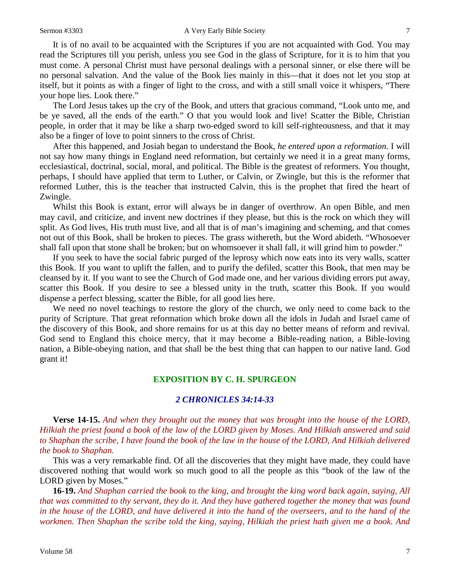It is of no avail to be acquainted with the Scriptures if you are not acquainted with God. You may read the Scriptures till you perish, unless you see God in the glass of Scripture, for it is to him that you must come. A personal Christ must have personal dealings with a personal sinner, or else there will be no personal salvation. And the value of the Book lies mainly in this—that it does not let you stop at itself, but it points as with a finger of light to the cross, and with a still small voice it whispers, "There your hope lies. Look there."

The Lord Jesus takes up the cry of the Book, and utters that gracious command, "Look unto me, and be ye saved, all the ends of the earth." O that you would look and live! Scatter the Bible, Christian people, in order that it may be like a sharp two-edged sword to kill self-righteousness, and that it may also be a finger of love to point sinners to the cross of Christ.

After this happened, and Josiah began to understand the Book, *he entered upon a reformation*. I will not say how many things in England need reformation, but certainly we need it in a great many forms, ecclesiastical, doctrinal, social, moral, and political. The Bible is the greatest of reformers. You thought, perhaps, I should have applied that term to Luther, or Calvin, or Zwingle, but this is the reformer that reformed Luther, this is the teacher that instructed Calvin, this is the prophet that fired the heart of Zwingle.

Whilst this Book is extant, error will always be in danger of overthrow. An open Bible, and men may cavil, and criticize, and invent new doctrines if they please, but this is the rock on which they will split. As God lives, His truth must live, and all that is of man's imagining and scheming, and that comes not out of this Book, shall be broken to pieces. The grass withereth, but the Word abideth. "Whosoever shall fall upon that stone shall be broken; but on whomsoever it shall fall, it will grind him to powder."

If you seek to have the social fabric purged of the leprosy which now eats into its very walls, scatter this Book. If you want to uplift the fallen, and to purify the defiled, scatter this Book, that men may be cleansed by it. If you want to see the Church of God made one, and her various dividing errors put away, scatter this Book. If you desire to see a blessed unity in the truth, scatter this Book. If you would dispense a perfect blessing, scatter the Bible, for all good lies here.

We need no novel teachings to restore the glory of the church, we only need to come back to the purity of Scripture. That great reformation which broke down all the idols in Judah and Israel came of the discovery of this Book, and shore remains for us at this day no better means of reform and revival. God send to England this choice mercy, that it may become a Bible-reading nation, a Bible-loving nation, a Bible-obeying nation, and that shall be the best thing that can happen to our native land. God grant it!

#### **EXPOSITION BY C. H. SPURGEON**

#### *2 CHRONICLES 34:14-33*

**Verse 14-15.** *And when they brought out the money that was brought into the house of the LORD, Hilkiah the priest found a book of the law of the LORD given by Moses. And Hilkiah answered and said to Shaphan the scribe, I have found the book of the law in the house of the LORD, And Hilkiah delivered the book to Shaphan.*

This was a very remarkable find. Of all the discoveries that they might have made, they could have discovered nothing that would work so much good to all the people as this "book of the law of the LORD given by Moses."

**16-19.** *And Shaphan carried the book to the king, and brought the king word back again, saying, All that was committed to thy servant, they do it. And they have gathered together the money that was found in the house of the LORD, and have delivered it into the hand of the overseers, and to the hand of the workmen. Then Shaphan the scribe told the king, saying, Hilkiah the priest hath given me a book. And*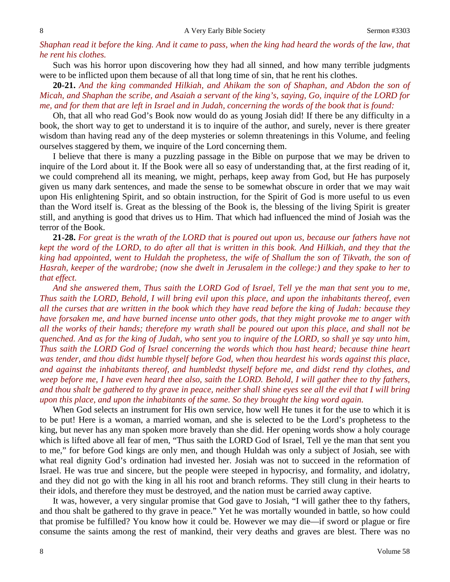## *Shaphan read it before the king. And it came to pass, when the king had heard the words of the law, that he rent his clothes.*

Such was his horror upon discovering how they had all sinned, and how many terrible judgments were to be inflicted upon them because of all that long time of sin, that he rent his clothes.

**20-21.** *And the king commanded Hilkiah, and Ahikam the son of Shaphan, and Abdon the son of Micah, and Shaphan the scribe, and Asaiah a servant of the king's, saying, Go, inquire of the LORD for me, and for them that are left in Israel and in Judah, concerning the words of the book that is found:*

Oh, that all who read God's Book now would do as young Josiah did! If there be any difficulty in a book, the short way to get to understand it is to inquire of the author, and surely, never is there greater wisdom than having read any of the deep mysteries or solemn threatenings in this Volume, and feeling ourselves staggered by them, we inquire of the Lord concerning them.

I believe that there is many a puzzling passage in the Bible on purpose that we may be driven to inquire of the Lord about it. If the Book were all so easy of understanding that, at the first reading of it, we could comprehend all its meaning, we might, perhaps, keep away from God, but He has purposely given us many dark sentences, and made the sense to be somewhat obscure in order that we may wait upon His enlightening Spirit, and so obtain instruction, for the Spirit of God is more useful to us even than the Word itself is. Great as the blessing of the Book is, the blessing of the living Spirit is greater still, and anything is good that drives us to Him. That which had influenced the mind of Josiah was the terror of the Book.

**21-28.** *For great is the wrath of the LORD that is poured out upon us, because our fathers have not kept the word of the LORD, to do after all that is written in this book. And Hilkiah, and they that the king had appointed, went to Huldah the prophetess, the wife of Shallum the son of Tikvath, the son of Hasrah, keeper of the wardrobe; (now she dwelt in Jerusalem in the college:) and they spake to her to that effect.* 

*And she answered them, Thus saith the LORD God of Israel, Tell ye the man that sent you to me, Thus saith the LORD, Behold, I will bring evil upon this place, and upon the inhabitants thereof, even all the curses that are written in the book which they have read before the king of Judah: because they have forsaken me, and have burned incense unto other gods, that they might provoke me to anger with all the works of their hands; therefore my wrath shall be poured out upon this place, and shall not be quenched. And as for the king of Judah, who sent you to inquire of the LORD, so shall ye say unto him, Thus saith the LORD God of Israel concerning the words which thou hast heard; because thine heart was tender, and thou didst humble thyself before God, when thou heardest his words against this place, and against the inhabitants thereof, and humbledst thyself before me, and didst rend thy clothes, and weep before me, I have even heard thee also, saith the LORD. Behold, I will gather thee to thy fathers, and thou shalt be gathered to thy grave in peace, neither shall shine eyes see all the evil that I will bring upon this place, and upon the inhabitants of the same. So they brought the king word again.*

When God selects an instrument for His own service, how well He tunes it for the use to which it is to be put! Here is a woman, a married woman, and she is selected to be the Lord's prophetess to the king, but never has any man spoken more bravely than she did. Her opening words show a holy courage which is lifted above all fear of men, "Thus saith the LORD God of Israel, Tell ye the man that sent you to me," for before God kings are only men, and though Huldah was only a subject of Josiah, see with what real dignity God's ordination had invested her. Josiah was not to succeed in the reformation of Israel. He was true and sincere, but the people were steeped in hypocrisy, and formality, and idolatry, and they did not go with the king in all his root and branch reforms. They still clung in their hearts to their idols, and therefore they must be destroyed, and the nation must be carried away captive.

It was, however, a very singular promise that God gave to Josiah, "I will gather thee to thy fathers, and thou shalt be gathered to thy grave in peace." Yet he was mortally wounded in battle, so how could that promise be fulfilled? You know how it could be. However we may die—if sword or plague or fire consume the saints among the rest of mankind, their very deaths and graves are blest. There was no